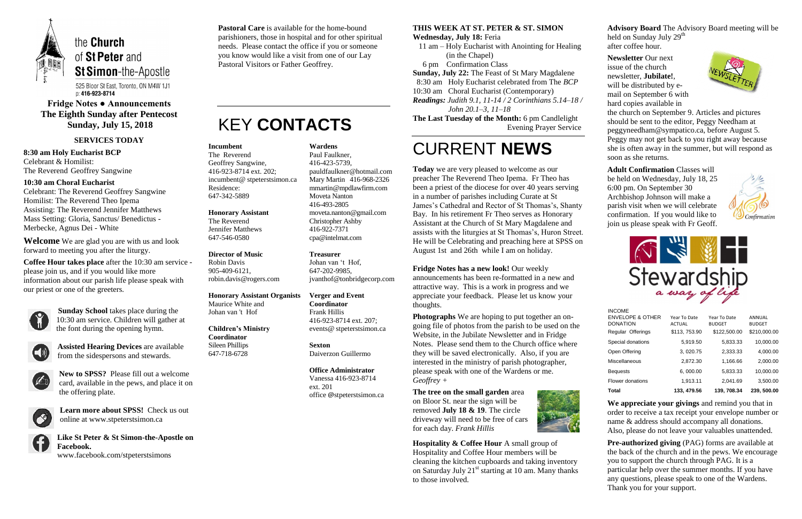

525 Bloor St East, Toronto, ON M4W 1J1 p: 416-923-8714

# **Fridge Notes ● Announcements The Eighth Sunday after Pentecost Sunday, July 15, 2018**

### **SERVICES TODAY**

**8:30 am Holy Eucharist BCP** Celebrant & Homilist: The Reverend Geoffrey Sangwine

### **10:30 am Choral Eucharist**

Celebrant: The Reverend Geoffrey Sangwine Homilist: The Reverend Theo Ipema Assisting: The Reverend Jennifer Matthews Mass Setting: Gloria, Sanctus/ Benedictus - Merbecke, Agnus Dei - White

**Welcome** We are glad you are with us and look forward to meeting you after the liturgy.

**Coffee Hour takes place** after the 10:30 am service please join us, and if you would like more information about our parish life please speak with our priest or one of the greeters.



**Sunday School** takes place during the 10:30 am service. Children will gather at the font during the opening hymn.



**Assisted Hearing Devices** are available from the sidespersons and stewards.



**New to SPSS?** Please fill out a welcome card, available in the pews, and place it on the offering plate.



**Learn more about SPSS!** Check us out online at www.stpeterstsimon.ca

**Like St Peter & St Simon-the-Apostle on Facebook.**  www.facebook.com/stpeterstsimons

**Pastoral Care** is available for the home-bound parishioners, those in hospital and for other spiritual needs. Please contact the office if you or someone you know would like a visit from one of our Lay Pastoral Visitors or Father Geoffrey.

# KEY **CONTACTS**

### **THIS WEEK AT ST. PETER & ST. SIMON**

**Wednesday, July 18:** Feria

 11 am – Holy Eucharist with Anointing for Healing (in the Chapel)

6 pm Confirmation Class

**Sunday, July 22:** The Feast of St Mary Magdalene

 8:30 am Holy Eucharist celebrated from The *BCP* 10:30 am Choral Eucharist (Contemporary)

**Hospitality & Coffee Hour** A small group of Hospitality and Coffee Hour members will be cleaning the kitchen cupboards and taking inventory on Saturday July  $21<sup>st</sup>$  starting at 10 am. Many thanks to those involved.

*Readings: Judith 9.1, 11-14 / 2 Corinthians 5.14–18 / John 20.1–3, 11–18*

**The Last Tuesday of the Month:** 6 pm Candlelight Evening Prayer Service

# CURRENT **NEWS**

**Today** we are very pleased to welcome as our preacher The Reverend Theo Ipema. Fr Theo has been a priest of the diocese for over 40 years serving in a number of parishes including Curate at St James's Cathedral and Rector of St Thomas's, Shanty Bay. In his retirement Fr Theo serves as Honorary Assistant at the Church of St Mary Magdalene and assists with the liturgies at St Thomas's, Huron Street. He will be Celebrating and preaching here at SPSS on August 1st and 26th while I am on holiday.

> **Pre-authorized giving (PAG) forms are available at** the back of the church and in the pews. We encourage you to support the church through PAG. It is a particular help over the summer months. If you have any questions, please speak to one of the Wardens. Thank you for your support.

**Fridge Notes has a new look!** Our weekly

announcements has been re-formatted in a new and attractive way. This is a work in progress and we appreciate your feedback. Please let us know your thoughts.

**Photographs** We are hoping to put together an ongoing file of photos from the parish to be used on the Website, in the Jubilate Newsletter and in Fridge Notes. Please send them to the Church office where they will be saved electronically. Also, if you are interested in the ministry of parish photographer, please speak with one of the Wardens or me. *Geoffrey +*

**The tree on the small garden** area on Bloor St. near the sign will be removed **July 18 & 19**. The circle driveway will need to be free of cars for each day. *Frank Hillis*



**Advisory Board** The Advisory Board meeting will be held on Sunday July 29<sup>th</sup> after coffee hour.

**Newsletter** Our next issue of the church newsletter, **Jubilate!**, will be distributed by email on September 6 with hard copies available in



the church on September 9. Articles and pictures should be sent to the editor, Peggy Needham at peggyneedham@sympatico.ca, before August 5. Peggy may not get back to you right away because she is often away in the summer, but will respond as soon as she returns.

**Adult Confirmation** Classes will be held on Wednesday, July 18, 25 6:00 pm. On September 30 Archbishop Johnson will make a parish visit when we will celebrate confirmation. If you would like to join us please speak with Fr Geoff.





**We appreciate your givings** and remind you that in order to receive a tax receipt your envelope number or name & address should accompany all donations. Also, please do not leave your valuables unattended.

#### **Incumbent**

The Reverend Geoffrey Sangwine, 416-923-8714 ext. 202; incumbent@ stpeterstsimon.ca Residence: 647-342-5889

#### **Honorary Assistant**

The Reverend Jennifer Matthews 647-546-0580

#### **Director of Music**

Robin Davis 905-409-6121, robin.davis@rogers.com

### **Honorary Assistant Organists**

Maurice White and Johan van 't Hof

#### **Children's Ministry Coordinator** Sileen Phillips

647-718-6728

**Wardens**  Paul Faulkner, 416-423-5739, [pauldfaulkner@hotmail.com](mailto:pauldfaulkner@hotmail.com)  Mary Martin 416-968-2326 mmartin@mpdlawfirm.com Moveta Nanton 416-493-2805 moveta.nanton@gmail.com Christopher Ashby 416-922-7371 cpa@intelmat.com

**Treasurer**  Johan van 't Hof, 647-202-9985, jvanthof@tonbridgecorp.com

**Verger and Event Coordinator** Frank Hillis 416-923-8714 ext. 207; events@ stpeterstsimon.ca

**Sexton** Daiverzon Guillermo

**Office Administrator** Vanessa 416-923-8714 ext. 201 office @stpeterstsimon.ca

| Total                                                           | 133, 479.56                   | 139.708.34                    | 239, 500.00             |
|-----------------------------------------------------------------|-------------------------------|-------------------------------|-------------------------|
| Flower donations                                                | 1.913.11                      | 2.041.69                      | 3,500.00                |
| <b>Bequests</b>                                                 | 6,000.00                      | 5.833.33                      | 10.000.00               |
| Miscellaneous                                                   | 2,872.30                      | 1.166.66                      | 2,000.00                |
| Open Offering                                                   | 3.020.75                      | 2.333.33                      | 4,000.00                |
| Special donations                                               | 5,919.50                      | 5,833.33                      | 10,000.00               |
| Regular Offerings                                               | \$113, 753.90                 | \$122,500.00                  | \$210,000.00            |
| <b>INCOME</b><br><b>ENVELOPE &amp; OTHER</b><br><b>DONATION</b> | Year To Date<br><b>ACTUAL</b> | Year To Date<br><b>BUDGET</b> | ANNUAL<br><b>BUDGET</b> |